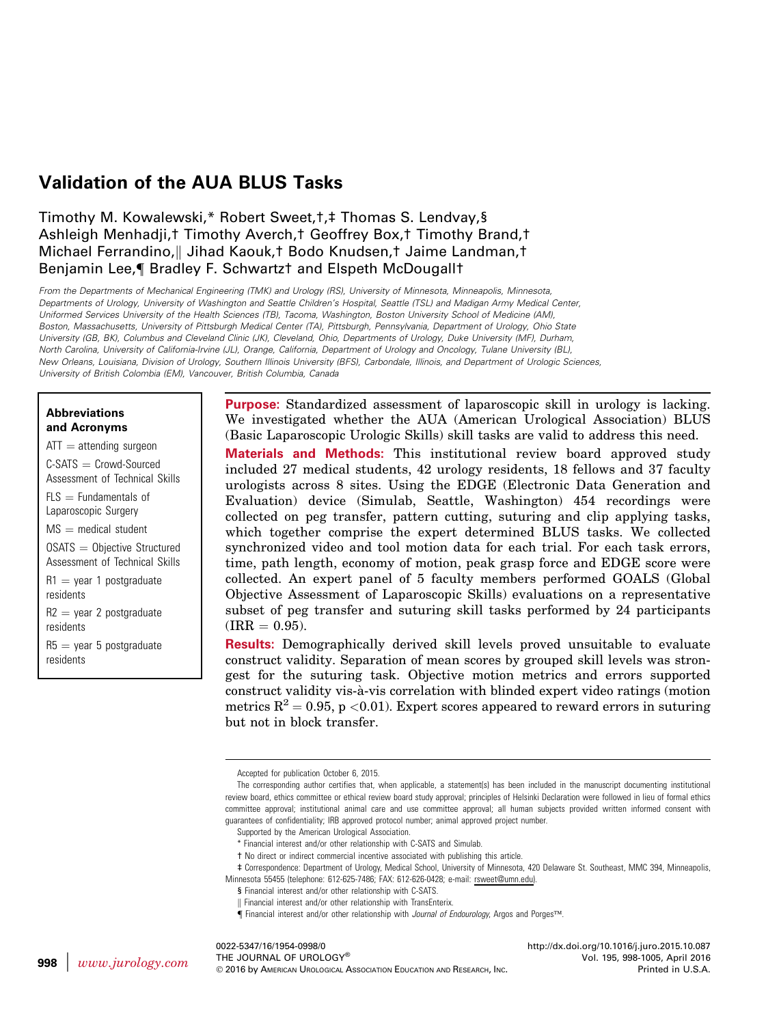# Validation of the AUA BLUS Tasks

## Timothy M. Kowalewski,\* Robert Sweet,†,‡ Thomas S. Lendvay,§ Ashleigh Menhadji,† Timothy Averch,† Geoffrey Box,† Timothy Brand,† Michael Ferrandino, Jihad Kaouk,<sup>†</sup> Bodo Knudsen,† Jaime Landman,† Benjamin Lee, | Bradley F. Schwartzt and Elspeth McDougallt

From the Departments of Mechanical Engineering (TMK) and Urology (RS), University of Minnesota, Minneapolis, Minnesota, Departments of Urology, University of Washington and Seattle Children's Hospital, Seattle (TSL) and Madigan Army Medical Center, Uniformed Services University of the Health Sciences (TB), Tacoma, Washington, Boston University School of Medicine (AM), Boston, Massachusetts, University of Pittsburgh Medical Center (TA), Pittsburgh, Pennsylvania, Department of Urology, Ohio State University (GB, BK), Columbus and Cleveland Clinic (JK), Cleveland, Ohio, Departments of Urology, Duke University (MF), Durham, North Carolina, University of California-Irvine (JL), Orange, California, Department of Urology and Oncology, Tulane University (BL), New Orleans, Louisiana, Division of Urology, Southern Illinois University (BFS), Carbondale, Illinois, and Department of Urologic Sciences, University of British Colombia (EM), Vancouver, British Columbia, Canada

#### Abbreviations and Acronyms

 $ATT =$  attending surgeon  $C-SATS = Crowd-Sourced$ Assessment of Technical Skills  $FIS =$  Fundamentals of Laparoscopic Surgery  $MS =$  medical student  $OSATS = Objective Structure$ Assessment of Technical Skills  $R1 =$  year 1 postgraduate residents  $R2 =$  year 2 postgraduate residents  $R5 =$  year 5 postgraduate residents

Purpose: Standardized assessment of laparoscopic skill in urology is lacking. We investigated whether the AUA (American Urological Association) BLUS (Basic Laparoscopic Urologic Skills) skill tasks are valid to address this need.

Materials and Methods: This institutional review board approved study included 27 medical students, 42 urology residents, 18 fellows and 37 faculty urologists across 8 sites. Using the EDGE (Electronic Data Generation and Evaluation) device (Simulab, Seattle, Washington) 454 recordings were collected on peg transfer, pattern cutting, suturing and clip applying tasks, which together comprise the expert determined BLUS tasks. We collected synchronized video and tool motion data for each trial. For each task errors, time, path length, economy of motion, peak grasp force and EDGE score were collected. An expert panel of 5 faculty members performed GOALS (Global Objective Assessment of Laparoscopic Skills) evaluations on a representative subset of peg transfer and suturing skill tasks performed by 24 participants  $\text{(IRR} = 0.95).$ 

Results: Demographically derived skill levels proved unsuitable to evaluate construct validity. Separation of mean scores by grouped skill levels was strongest for the suturing task. Objective motion metrics and errors supported construct validity vis-a-vis correlation with blinded expert video ratings (motion metrics  $R^2 = 0.95$ , p <0.01). Expert scores appeared to reward errors in suturing but not in block transfer.

0022-5347/16/1954-0998/0 THE JOURNAL OF UROLOGY® 2016 by AMERICAN UROLOGICAL ASSOCIATION EDUCATION AND RESEARCH, INC. <http://dx.doi.org/10.1016/j.juro.2015.10.087> Vol. 195, 998-1005, April 2016 Printed in U.S.A.

Accepted for publication October 6, 2015.

The corresponding author certifies that, when applicable, a statement(s) has been included in the manuscript documenting institutional review board, ethics committee or ethical review board study approval; principles of Helsinki Declaration were followed in lieu of formal ethics committee approval; institutional animal care and use committee approval; all human subjects provided written informed consent with guarantees of confidentiality; IRB approved protocol number; animal approved project number.

Supported by the American Urological Association.

<sup>\*</sup> Financial interest and/or other relationship with C-SATS and Simulab.

<sup>†</sup> No direct or indirect commercial incentive associated with publishing this article.

<sup>‡</sup> Correspondence: Department of Urology, Medical School, University of Minnesota, 420 Delaware St. Southeast, MMC 394, Minneapolis, Minnesota 55455 (telephone: 612-625-7486; FAX: 612-626-0428; e-mail: [rsweet@umn.edu](mailto:rsweet@umn.edu)).

<sup>§</sup> Financial interest and/or other relationship with C-SATS.

<sup>||</sup> Financial interest and/or other relationship with TransEnterix.

<sup>¶</sup> Financial interest and/or other relationship with Journal of Endourology, Argos and Porges™.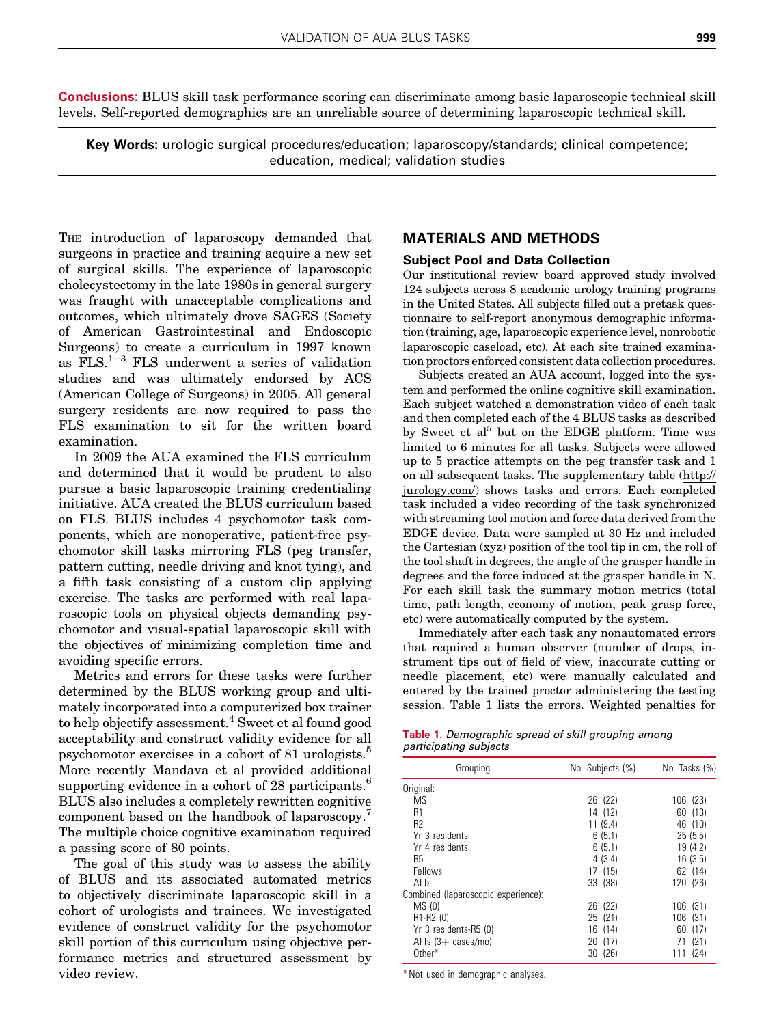<span id="page-1-0"></span>Conclusions: BLUS skill task performance scoring can discriminate among basic laparoscopic technical skill levels. Self-reported demographics are an unreliable source of determining laparoscopic technical skill.

Key Words: urologic surgical procedures/education; laparoscopy/standards; clinical competence; education, medical; validation studies

THE introduction of laparoscopy demanded that surgeons in practice and training acquire a new set of surgical skills. The experience of laparoscopic cholecystectomy in the late 1980s in general surgery was fraught with unacceptable complications and outcomes, which ultimately drove SAGES (Society of American Gastrointestinal and Endoscopic Surgeons) to create a curriculum in 1997 known as  $\text{FLS}$ .<sup>[1](#page-5-0)-[3](#page-5-0)</sup> FLS underwent a series of validation studies and was ultimately endorsed by ACS (American College of Surgeons) in 2005. All general surgery residents are now required to pass the FLS examination to sit for the written board examination.

In 2009 the AUA examined the FLS curriculum and determined that it would be prudent to also pursue a basic laparoscopic training credentialing initiative. AUA created the BLUS curriculum based on FLS. BLUS includes 4 psychomotor task components, which are nonoperative, patient-free psychomotor skill tasks mirroring FLS (peg transfer, pattern cutting, needle driving and knot tying), and a fifth task consisting of a custom clip applying exercise. The tasks are performed with real laparoscopic tools on physical objects demanding psychomotor and visual-spatial laparoscopic skill with the objectives of minimizing completion time and avoiding specific errors.

Metrics and errors for these tasks were further determined by the BLUS working group and ultimately incorporated into a computerized box trainer to help objectify assessment.<sup>[4](#page-5-0)</sup> Sweet et al found good acceptability and construct validity evidence for all psychomotor exercises in a cohort of 81 urologists.<sup>[5](#page-5-0)</sup> More recently Mandava et al provided additional supporting evidence in a cohort of 28 participants.<sup>[6](#page-5-0)</sup> BLUS also includes a completely rewritten cognitive component based on the handbook of laparoscopy.[7](#page-5-0) The multiple choice cognitive examination required a passing score of 80 points.

The goal of this study was to assess the ability of BLUS and its associated automated metrics to objectively discriminate laparoscopic skill in a cohort of urologists and trainees. We investigated evidence of construct validity for the psychomotor skill portion of this curriculum using objective performance metrics and structured assessment by video review.

#### MATERIALS AND METHODS

#### Subject Pool and Data Collection

Our institutional review board approved study involved 124 subjects across 8 academic urology training programs in the United States. All subjects filled out a pretask questionnaire to self-report anonymous demographic information (training, age, laparoscopic experience level, nonrobotic laparoscopic caseload, etc). At each site trained examination proctors enforced consistent data collection procedures.

Subjects created an AUA account, logged into the system and performed the online cognitive skill examination. Each subject watched a demonstration video of each task and then completed each of the 4 BLUS tasks as described by Sweet et al<sup>[5](#page-5-0)</sup> but on the EDGE platform. Time was limited to 6 minutes for all tasks. Subjects were allowed up to 5 practice attempts on the peg transfer task and 1 on all subsequent tasks. The supplementary table ([http://](http://jurology.com/) [jurology.com/\)](http://jurology.com/) shows tasks and errors. Each completed task included a video recording of the task synchronized with streaming tool motion and force data derived from the EDGE device. Data were sampled at 30 Hz and included the Cartesian (xyz) position of the tool tip in cm, the roll of the tool shaft in degrees, the angle of the grasper handle in degrees and the force induced at the grasper handle in N. For each skill task the summary motion metrics (total time, path length, economy of motion, peak grasp force, etc) were automatically computed by the system.

Immediately after each task any nonautomated errors that required a human observer (number of drops, instrument tips out of field of view, inaccurate cutting or needle placement, etc) were manually calculated and entered by the trained proctor administering the testing session. Table 1 lists the errors. Weighted penalties for

| <b>Table 1.</b> Demographic spread of skill grouping among |  |  |
|------------------------------------------------------------|--|--|
| participating subjects                                     |  |  |

| No. Subjects (%) | No. Tasks (%) |
|------------------|---------------|
|                  |               |
| 26 (22)          | 106 (23)      |
| 14 (12)          | 60<br>(13)    |
| 11(9.4)          | 46 (10)       |
| 6(5.1)           | 25(5.5)       |
| 6(5.1)           | 19 (4.2)      |
| 4(3.4)           | 16(3.5)       |
| (15)<br>17       | 62 (14)       |
| 33 (38)          | 120 (26)      |
|                  |               |
| (22)<br>26       | (31)<br>106   |
| (21)<br>25       | (31)<br>106   |
| (14)<br>16       | (17)<br>60    |
| 20 (17)          | (21)<br>71    |
| (26)<br>30       | (24)<br>111   |
|                  |               |

\*Not used in demographic analyses.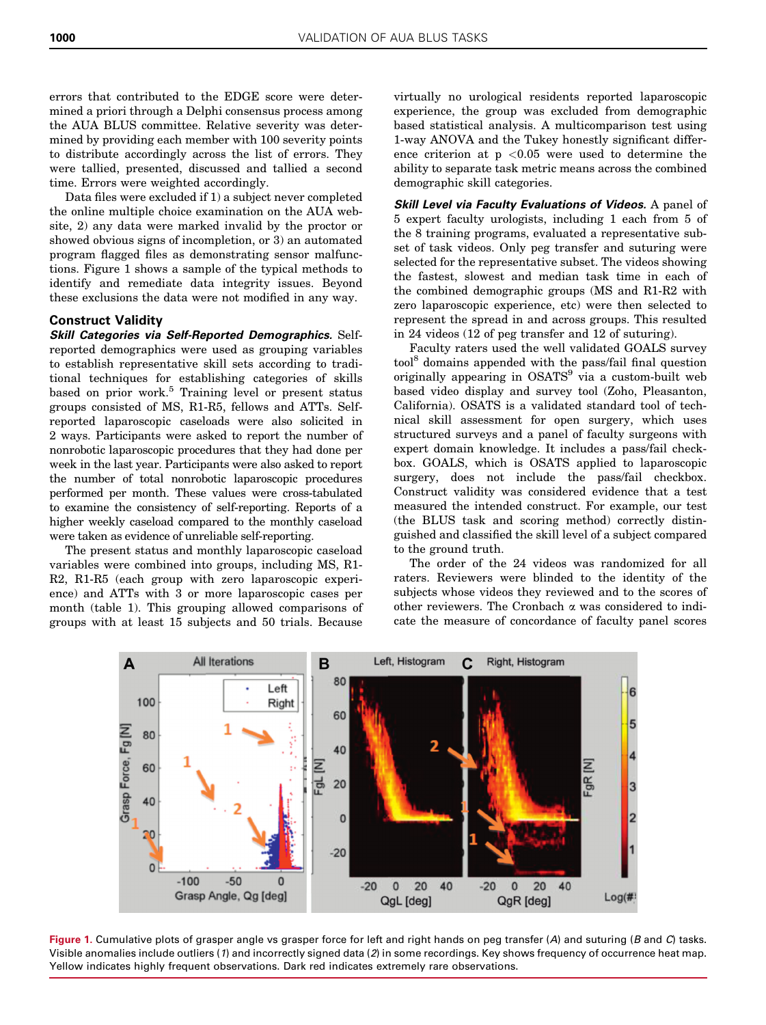errors that contributed to the EDGE score were determined a priori through a Delphi consensus process among the AUA BLUS committee. Relative severity was determined by providing each member with 100 severity points to distribute accordingly across the list of errors. They were tallied, presented, discussed and tallied a second time. Errors were weighted accordingly.

Data files were excluded if 1) a subject never completed the online multiple choice examination on the AUA website, 2) any data were marked invalid by the proctor or showed obvious signs of incompletion, or 3) an automated program flagged files as demonstrating sensor malfunctions. Figure 1 shows a sample of the typical methods to identify and remediate data integrity issues. Beyond these exclusions the data were not modified in any way.

#### Construct Validity

Skill Categories via Self-Reported Demographics. Selfreported demographics were used as grouping variables to establish representative skill sets according to traditional techniques for establishing categories of skills based on prior work.<sup>[5](#page-5-0)</sup> Training level or present status groups consisted of MS, R1-R5, fellows and ATTs. Selfreported laparoscopic caseloads were also solicited in 2 ways. Participants were asked to report the number of nonrobotic laparoscopic procedures that they had done per week in the last year. Participants were also asked to report the number of total nonrobotic laparoscopic procedures performed per month. These values were cross-tabulated to examine the consistency of self-reporting. Reports of a higher weekly caseload compared to the monthly caseload were taken as evidence of unreliable self-reporting.

The present status and monthly laparoscopic caseload variables were combined into groups, including MS, R1- R2, R1-R5 (each group with zero laparoscopic experience) and ATTs with 3 or more laparoscopic cases per month [\(table 1](#page-1-0)). This grouping allowed comparisons of groups with at least 15 subjects and 50 trials. Because

virtually no urological residents reported laparoscopic experience, the group was excluded from demographic based statistical analysis. A multicomparison test using 1-way ANOVA and the Tukey honestly significant difference criterion at  $p \leq 0.05$  were used to determine the ability to separate task metric means across the combined demographic skill categories.

Skill Level via Faculty Evaluations of Videos. A panel of 5 expert faculty urologists, including 1 each from 5 of the 8 training programs, evaluated a representative subset of task videos. Only peg transfer and suturing were selected for the representative subset. The videos showing the fastest, slowest and median task time in each of the combined demographic groups (MS and R1-R2 with zero laparoscopic experience, etc) were then selected to represent the spread in and across groups. This resulted in 24 videos (12 of peg transfer and 12 of suturing).

Faculty raters used the well validated GOALS survey too[l8](#page-5-0) domains appended with the pass/fail final question originally appearing in OSATS<sup>[9](#page-5-0)</sup> via a custom-built web based video display and survey tool (Zoho, Pleasanton, California). OSATS is a validated standard tool of technical skill assessment for open surgery, which uses structured surveys and a panel of faculty surgeons with expert domain knowledge. It includes a pass/fail checkbox. GOALS, which is OSATS applied to laparoscopic surgery, does not include the pass/fail checkbox. Construct validity was considered evidence that a test measured the intended construct. For example, our test (the BLUS task and scoring method) correctly distinguished and classified the skill level of a subject compared to the ground truth.

The order of the 24 videos was randomized for all raters. Reviewers were blinded to the identity of the subjects whose videos they reviewed and to the scores of other reviewers. The Cronbach a was considered to indicate the measure of concordance of faculty panel scores



Figure 1. Cumulative plots of grasper angle vs grasper force for left and right hands on peg transfer  $(A)$  and suturing  $(B \text{ and } C)$  tasks. Visible anomalies include outliers (1) and incorrectly signed data (2) in some recordings. Key shows frequency of occurrence heat map. Yellow indicates highly frequent observations. Dark red indicates extremely rare observations.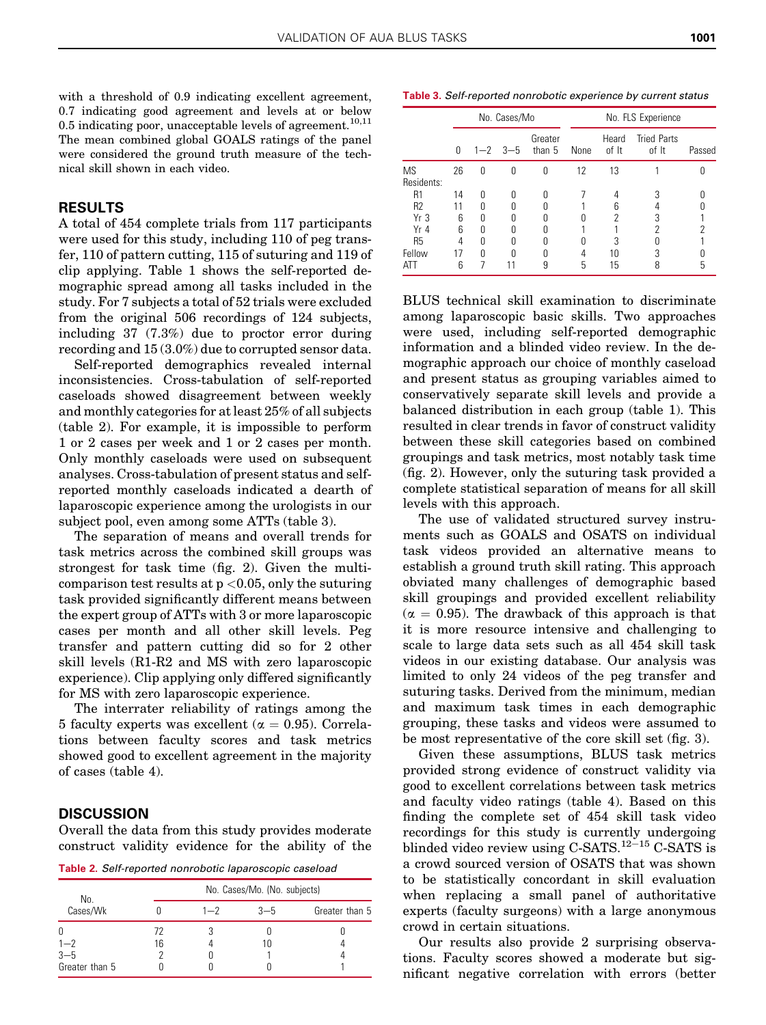<span id="page-3-0"></span>with a threshold of 0.9 indicating excellent agreement, 0.7 indicating good agreement and levels at or below 0.5 indicating poor, unacceptable levels of agreement.<sup>10,11</sup> The mean combined global GOALS ratings of the panel were considered the ground truth measure of the technical skill shown in each video.

#### RESULTS

A total of 454 complete trials from 117 participants were used for this study, including 110 of peg transfer, 110 of pattern cutting, 115 of suturing and 119 of clip applying. [Table 1](#page-1-0) shows the self-reported demographic spread among all tasks included in the study. For 7 subjects a total of 52 trials were excluded from the original 506 recordings of 124 subjects, including 37 (7.3%) due to proctor error during recording and 15 (3.0%) due to corrupted sensor data.

Self-reported demographics revealed internal inconsistencies. Cross-tabulation of self-reported caseloads showed disagreement between weekly and monthly categories for at least 25% of all subjects (table 2). For example, it is impossible to perform 1 or 2 cases per week and 1 or 2 cases per month. Only monthly caseloads were used on subsequent analyses. Cross-tabulation of present status and selfreported monthly caseloads indicated a dearth of laparoscopic experience among the urologists in our subject pool, even among some ATTs (table 3).

The separation of means and overall trends for task metrics across the combined skill groups was strongest for task time ([fig. 2](#page-4-0)). Given the multicomparison test results at  $p < 0.05$ , only the suturing task provided significantly different means between the expert group of ATTs with 3 or more laparoscopic cases per month and all other skill levels. Peg transfer and pattern cutting did so for 2 other skill levels (R1-R2 and MS with zero laparoscopic experience). Clip applying only differed significantly for MS with zero laparoscopic experience.

The interrater reliability of ratings among the 5 faculty experts was excellent ( $\alpha = 0.95$ ). Correlations between faculty scores and task metrics showed good to excellent agreement in the majority of cases [\(table 4](#page-4-0)).

#### **DISCUSSION**

Overall the data from this study provides moderate construct validity evidence for the ability of the

Table 2. Self-reported nonrobotic laparoscopic caseload

| No.            |    | No. Cases/Mo. (No. subjects) |         |                |  |  |
|----------------|----|------------------------------|---------|----------------|--|--|
| Cases/Wk       |    | $1 - 7$                      | $3 - 5$ | Greater than 5 |  |  |
| 0              | 17 |                              |         |                |  |  |
| $1 - 2$        | 16 |                              |         |                |  |  |
| $3 - 5$        |    |                              |         |                |  |  |
| Greater than 5 |    |                              |         |                |  |  |

Table 3. Self-reported nonrobotic experience by current status

|                         |    | No. Cases/Mo |                 |                   | No. FLS Experience |                |                             |        |
|-------------------------|----|--------------|-----------------|-------------------|--------------------|----------------|-----------------------------|--------|
|                         | 0  |              | $1 - 2$ $3 - 5$ | Greater<br>than 5 | None               | Heard<br>of It | <b>Tried Parts</b><br>of It | Passed |
| <b>MS</b><br>Residents: | 26 | 0            | U               | 0                 | 12                 | 13             |                             |        |
| R1                      | 14 | Ŋ            | N               |                   |                    |                | 3                           |        |
| R <sub>2</sub>          |    | U            | N               |                   |                    | ĥ              |                             |        |
| Yr 3                    | 6  | Ŋ            | N               | Λ                 |                    | 2              | 3                           |        |
| $Yr$ 4                  | 6  | N            | U               |                   |                    |                | 2                           |        |
| <b>R5</b>               | 4  | Λ            |                 |                   |                    | 3              |                             |        |
| Fellow                  | 17 | Λ            |                 |                   |                    | 10             | 3                           |        |
| AII                     | 6  |              |                 | 9                 | 5                  | 15             | 8                           | 5      |

BLUS technical skill examination to discriminate among laparoscopic basic skills. Two approaches were used, including self-reported demographic information and a blinded video review. In the demographic approach our choice of monthly caseload and present status as grouping variables aimed to conservatively separate skill levels and provide a balanced distribution in each group ([table 1](#page-1-0)). This resulted in clear trends in favor of construct validity between these skill categories based on combined groupings and task metrics, most notably task time [\(fig. 2](#page-4-0)). However, only the suturing task provided a complete statistical separation of means for all skill levels with this approach.

The use of validated structured survey instruments such as GOALS and OSATS on individual task videos provided an alternative means to establish a ground truth skill rating. This approach obviated many challenges of demographic based skill groupings and provided excellent reliability  $(\alpha = 0.95)$ . The drawback of this approach is that it is more resource intensive and challenging to scale to large data sets such as all 454 skill task videos in our existing database. Our analysis was limited to only 24 videos of the peg transfer and suturing tasks. Derived from the minimum, median and maximum task times in each demographic grouping, these tasks and videos were assumed to be most representative of the core skill set [\(fig. 3](#page-5-0)).

Given these assumptions, BLUS task metrics provided strong evidence of construct validity via good to excellent correlations between task metrics and faculty video ratings ([table 4\)](#page-4-0). Based on this finding the complete set of 454 skill task video recordings for this study is currently undergoing blinded video review using C-SATS. $12-15$  $12-15$  $12-15$  C-SATS is a crowd sourced version of OSATS that was shown to be statistically concordant in skill evaluation when replacing a small panel of authoritative experts (faculty surgeons) with a large anonymous crowd in certain situations.

Our results also provide 2 surprising observations. Faculty scores showed a moderate but significant negative correlation with errors (better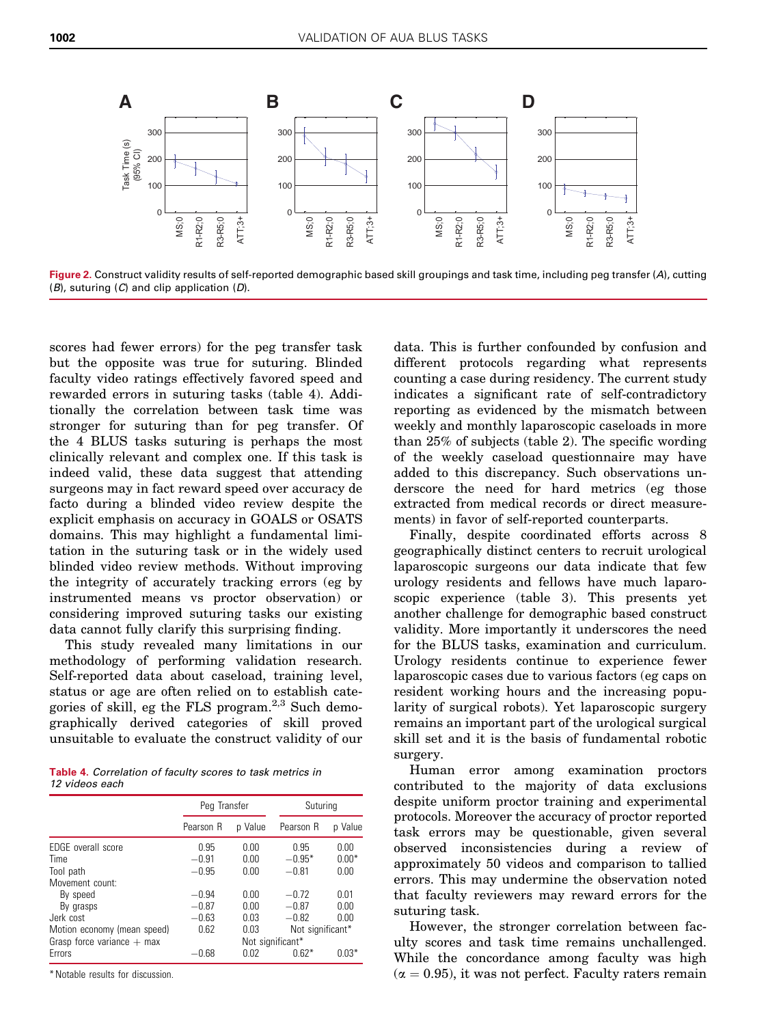<span id="page-4-0"></span>

Figure 2. Construct validity results of self-reported demographic based skill groupings and task time, including peg transfer (A), cutting  $(B)$ , suturing  $(C)$  and clip application  $(D)$ .

scores had fewer errors) for the peg transfer task but the opposite was true for suturing. Blinded faculty video ratings effectively favored speed and rewarded errors in suturing tasks (table 4). Additionally the correlation between task time was stronger for suturing than for peg transfer. Of the 4 BLUS tasks suturing is perhaps the most clinically relevant and complex one. If this task is indeed valid, these data suggest that attending surgeons may in fact reward speed over accuracy de facto during a blinded video review despite the explicit emphasis on accuracy in GOALS or OSATS domains. This may highlight a fundamental limitation in the suturing task or in the widely used blinded video review methods. Without improving the integrity of accurately tracking errors (eg by instrumented means vs proctor observation) or considering improved suturing tasks our existing data cannot fully clarify this surprising finding.

This study revealed many limitations in our methodology of performing validation research. Self-reported data about caseload, training level, status or age are often relied on to establish categories of skill, eg the FLS program. $2,3$  Such demographically derived categories of skill proved unsuitable to evaluate the construct validity of our

Table 4. Correlation of faculty scores to task metrics in 12 videos each

|                              | Peg Transfer |         | Suturing         |         |  |  |
|------------------------------|--------------|---------|------------------|---------|--|--|
|                              | Pearson R    | p Value | Pearson R        | p Value |  |  |
| EDGE overall score           | 0.95         | 0.00    | 0.95             | 0.00    |  |  |
| Time                         | $-0.91$      | 0.00    | $-0.95*$         | $0.00*$ |  |  |
| Tool path                    | $-0.95$      | 0.00    | $-0.81$          | 0.00    |  |  |
| Movement count:              |              |         |                  |         |  |  |
| By speed                     | $-0.94$      | 0.00    | $-0.72$          | 0.01    |  |  |
| By grasps                    | $-0.87$      | 0.00    | $-0.87$          | 0.00    |  |  |
| Jerk cost                    | $-0.63$      | 0.03    | $-0.82$          | 0.00    |  |  |
| Motion economy (mean speed)  | 0.62         | 0.03    | Not significant* |         |  |  |
| Grasp force variance $+$ max |              |         | Not significant* |         |  |  |
| Errors                       | $-0.68$      | 0.02    | $0.62*$          | $0.03*$ |  |  |

\* Notable results for discussion.

data. This is further confounded by confusion and different protocols regarding what represents counting a case during residency. The current study indicates a significant rate of self-contradictory reporting as evidenced by the mismatch between weekly and monthly laparoscopic caseloads in more than 25% of subjects [\(table 2](#page-3-0)). The specific wording of the weekly caseload questionnaire may have added to this discrepancy. Such observations underscore the need for hard metrics (eg those extracted from medical records or direct measurements) in favor of self-reported counterparts.

Finally, despite coordinated efforts across 8 geographically distinct centers to recruit urological laparoscopic surgeons our data indicate that few urology residents and fellows have much laparoscopic experience ([table 3\)](#page-3-0). This presents yet another challenge for demographic based construct validity. More importantly it underscores the need for the BLUS tasks, examination and curriculum. Urology residents continue to experience fewer laparoscopic cases due to various factors (eg caps on resident working hours and the increasing popularity of surgical robots). Yet laparoscopic surgery remains an important part of the urological surgical skill set and it is the basis of fundamental robotic surgery.

Human error among examination proctors contributed to the majority of data exclusions despite uniform proctor training and experimental protocols. Moreover the accuracy of proctor reported task errors may be questionable, given several observed inconsistencies during a review of approximately 50 videos and comparison to tallied errors. This may undermine the observation noted that faculty reviewers may reward errors for the suturing task.

However, the stronger correlation between faculty scores and task time remains unchallenged. While the concordance among faculty was high  $(\alpha = 0.95)$ , it was not perfect. Faculty raters remain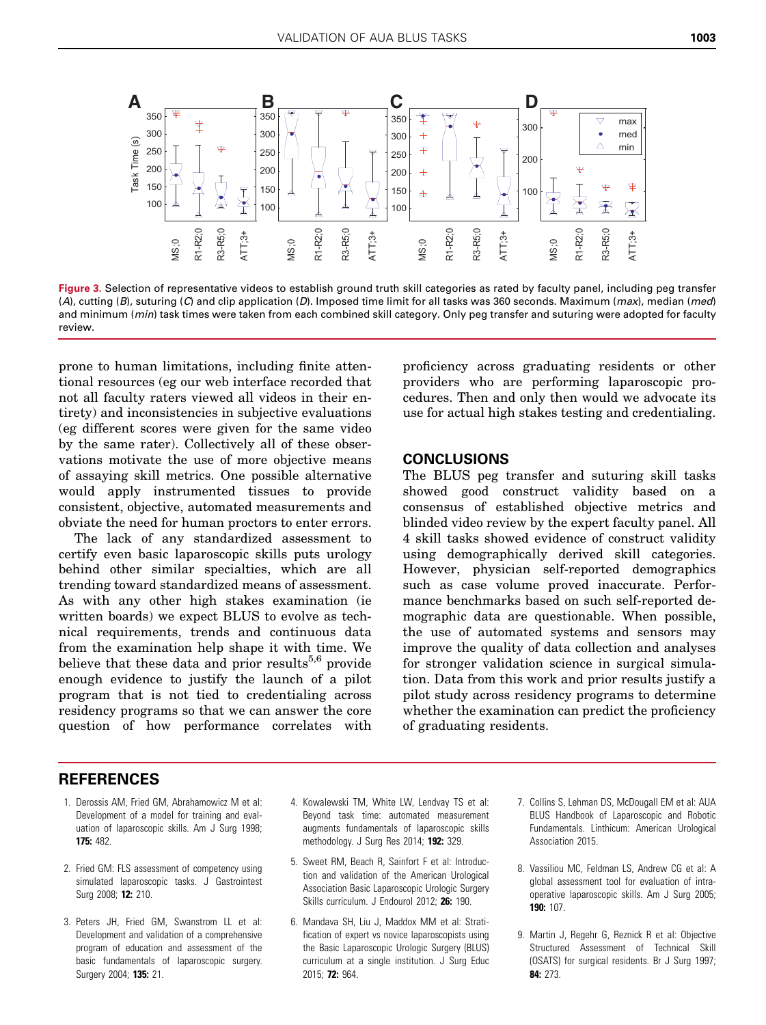<span id="page-5-0"></span>

Figure 3. Selection of representative videos to establish ground truth skill categories as rated by faculty panel, including peg transfer (A), cutting (B), suturing (C) and clip application (D). Imposed time limit for all tasks was 360 seconds. Maximum (max), median (med) and minimum (min) task times were taken from each combined skill category. Only peg transfer and suturing were adopted for faculty review.

prone to human limitations, including finite attentional resources (eg our web interface recorded that not all faculty raters viewed all videos in their entirety) and inconsistencies in subjective evaluations (eg different scores were given for the same video by the same rater). Collectively all of these observations motivate the use of more objective means of assaying skill metrics. One possible alternative would apply instrumented tissues to provide consistent, objective, automated measurements and obviate the need for human proctors to enter errors.

The lack of any standardized assessment to certify even basic laparoscopic skills puts urology behind other similar specialties, which are all trending toward standardized means of assessment. As with any other high stakes examination (ie written boards) we expect BLUS to evolve as technical requirements, trends and continuous data from the examination help shape it with time. We believe that these data and prior results<sup>5,6</sup> provide enough evidence to justify the launch of a pilot program that is not tied to credentialing across residency programs so that we can answer the core question of how performance correlates with

proficiency across graduating residents or other providers who are performing laparoscopic procedures. Then and only then would we advocate its use for actual high stakes testing and credentialing.

#### **CONCLUSIONS**

The BLUS peg transfer and suturing skill tasks showed good construct validity based on a consensus of established objective metrics and blinded video review by the expert faculty panel. All 4 skill tasks showed evidence of construct validity using demographically derived skill categories. However, physician self-reported demographics such as case volume proved inaccurate. Performance benchmarks based on such self-reported demographic data are questionable. When possible, the use of automated systems and sensors may improve the quality of data collection and analyses for stronger validation science in surgical simulation. Data from this work and prior results justify a pilot study across residency programs to determine whether the examination can predict the proficiency of graduating residents.

### REFERENCES

- 1. Derossis AM, Fried GM, Abrahamowicz M et al: Development of a model for training and evaluation of laparoscopic skills. Am J Surg 1998; 175: 482.
- 2. Fried GM: FLS assessment of competency using simulated laparoscopic tasks. J Gastrointest Surg 2008; 12: 210.
- 3. Peters JH, Fried GM, Swanstrom LL et al: Development and validation of a comprehensive program of education and assessment of the basic fundamentals of laparoscopic surgery. Surgery 2004; 135: 21.
- 4. Kowalewski TM, White LW, Lendvay TS et al: Beyond task time: automated measurement augments fundamentals of laparoscopic skills methodology. J Surg Res 2014; 192: 329.
- 5. Sweet RM, Beach R, Sainfort F et al: Introduction and validation of the American Urological Association Basic Laparoscopic Urologic Surgery Skills curriculum. J Endourol 2012; 26: 190.
- 6. Mandava SH, Liu J, Maddox MM et al: Stratification of expert vs novice laparoscopists using the Basic Laparoscopic Urologic Surgery (BLUS) curriculum at a single institution. J Surg Educ 2015; 72: 964.
- 7. Collins S, Lehman DS, McDougall EM et al: AUA BLUS Handbook of Laparoscopic and Robotic Fundamentals. Linthicum: American Urological Association 2015.
- 8. Vassiliou MC, Feldman LS, Andrew CG et al: A global assessment tool for evaluation of intraoperative laparoscopic skills. Am J Surg 2005; 190: 107.
- 9. Martin J, Regehr G, Reznick R et al: Objective Structured Assessment of Technical Skill (OSATS) for surgical residents. Br J Surg 1997; 84: 273.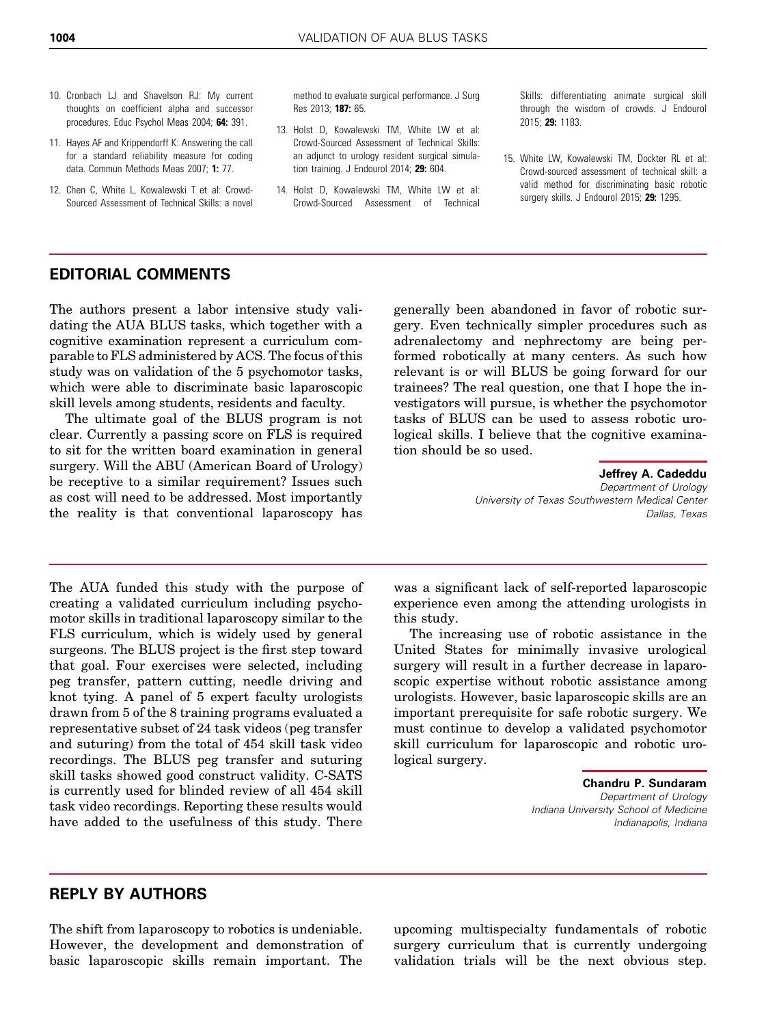- <span id="page-6-0"></span>10. Cronbach LJ and Shavelson RJ: My current thoughts on coefficient alpha and successor procedures. Educ Psychol Meas 2004; 64: 391.
- 11. Hayes AF and Krippendorff K: Answering the call for a standard reliability measure for coding data. Commun Methods Meas 2007; 1: 77.
- 12. Chen C, White L, Kowalewski T et al: Crowd-Sourced Assessment of Technical Skills: a novel

method to evaluate surgical performance. J Surg Res 2013; 187: 65.

- 13. Holst D, Kowalewski TM, White LW et al: Crowd-Sourced Assessment of Technical Skills: an adjunct to urology resident surgical simulation training. J Endourol 2014; 29: 604.
- 14. Holst D, Kowalewski TM, White LW et al: Crowd-Sourced Assessment of Technical

Skills: differentiating animate surgical skill through the wisdom of crowds. J Endourol 2015; 29: 1183.

15. White LW, Kowalewski TM, Dockter RL et al: Crowd-sourced assessment of technical skill: a valid method for discriminating basic robotic surgery skills. J Endourol 2015; 29: 1295.

## EDITORIAL COMMENTS

The authors present a labor intensive study validating the AUA BLUS tasks, which together with a cognitive examination represent a curriculum comparable to FLS administered by ACS. The focus of this study was on validation of the 5 psychomotor tasks, which were able to discriminate basic laparoscopic skill levels among students, residents and faculty.

The ultimate goal of the BLUS program is not clear. Currently a passing score on FLS is required to sit for the written board examination in general surgery. Will the ABU (American Board of Urology) be receptive to a similar requirement? Issues such as cost will need to be addressed. Most importantly the reality is that conventional laparoscopy has

The AUA funded this study with the purpose of creating a validated curriculum including psychomotor skills in traditional laparoscopy similar to the FLS curriculum, which is widely used by general surgeons. The BLUS project is the first step toward that goal. Four exercises were selected, including peg transfer, pattern cutting, needle driving and knot tying. A panel of 5 expert faculty urologists drawn from 5 of the 8 training programs evaluated a representative subset of 24 task videos (peg transfer and suturing) from the total of 454 skill task video recordings. The BLUS peg transfer and suturing skill tasks showed good construct validity. C-SATS is currently used for blinded review of all 454 skill task video recordings. Reporting these results would have added to the usefulness of this study. There

generally been abandoned in favor of robotic surgery. Even technically simpler procedures such as adrenalectomy and nephrectomy are being performed robotically at many centers. As such how relevant is or will BLUS be going forward for our trainees? The real question, one that I hope the investigators will pursue, is whether the psychomotor tasks of BLUS can be used to assess robotic urological skills. I believe that the cognitive examination should be so used.

> Jeffrey A. Cadeddu Department of Urology University of Texas Southwestern Medical Center Dallas, Texas

was a significant lack of self-reported laparoscopic experience even among the attending urologists in this study.

The increasing use of robotic assistance in the United States for minimally invasive urological surgery will result in a further decrease in laparoscopic expertise without robotic assistance among urologists. However, basic laparoscopic skills are an important prerequisite for safe robotic surgery. We must continue to develop a validated psychomotor skill curriculum for laparoscopic and robotic urological surgery.

> Chandru P. Sundaram Department of Urology Indiana University School of Medicine Indianapolis, Indiana

## REPLY BY AUTHORS

The shift from laparoscopy to robotics is undeniable. However, the development and demonstration of basic laparoscopic skills remain important. The

upcoming multispecialty fundamentals of robotic surgery curriculum that is currently undergoing validation trials will be the next obvious step.